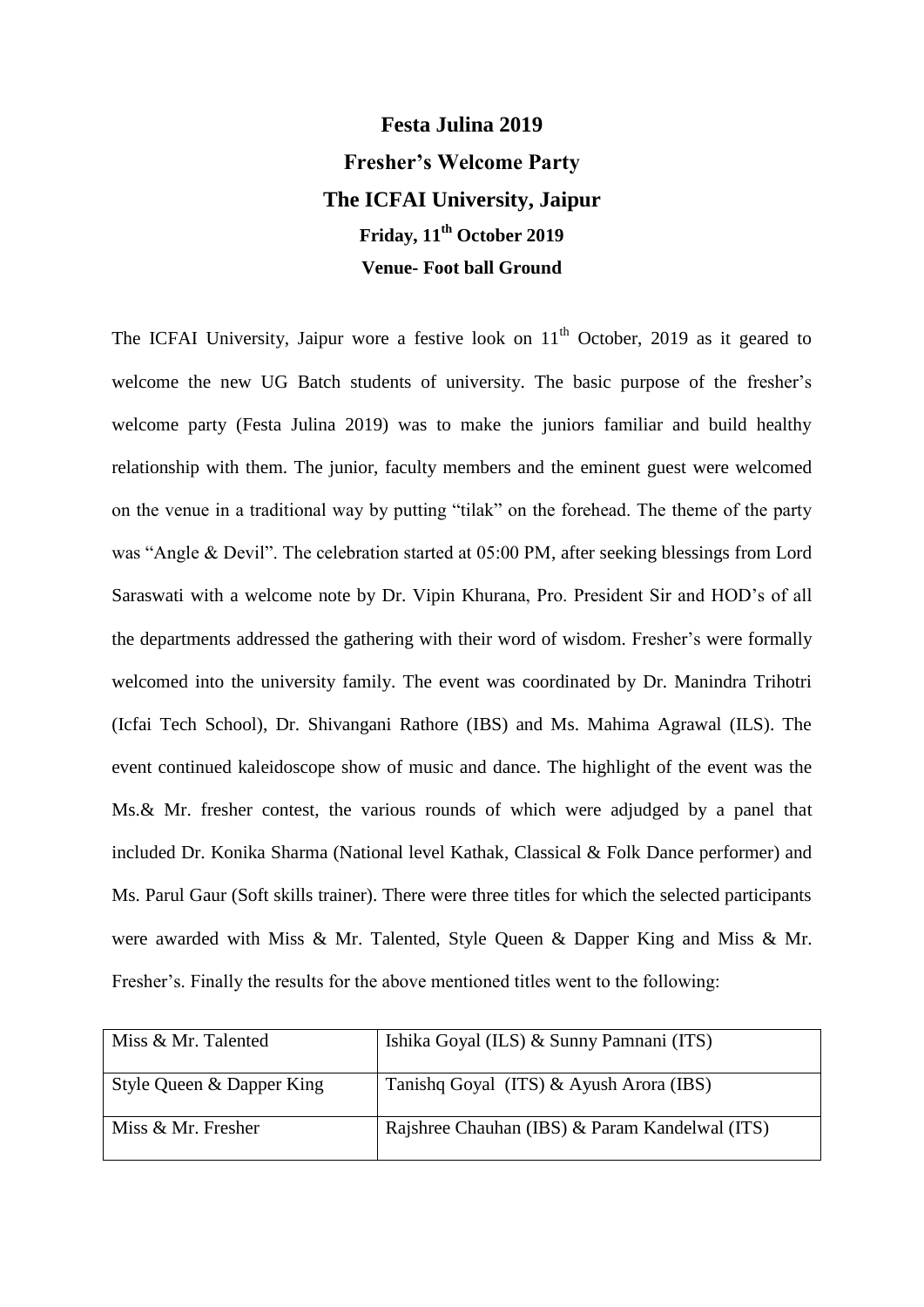## **Festa Julina 2019 Fresher's Welcome Party The ICFAI University, Jaipur Friday, 11th October 2019 Venue- Foot ball Ground**

The ICFAI University, Jaipur wore a festive look on  $11<sup>th</sup>$  October, 2019 as it geared to welcome the new UG Batch students of university. The basic purpose of the fresher's welcome party (Festa Julina 2019) was to make the juniors familiar and build healthy relationship with them. The junior, faculty members and the eminent guest were welcomed on the venue in a traditional way by putting "tilak" on the forehead. The theme of the party was "Angle & Devil". The celebration started at 05:00 PM, after seeking blessings from Lord Saraswati with a welcome note by Dr. Vipin Khurana, Pro. President Sir and HOD's of all the departments addressed the gathering with their word of wisdom. Fresher's were formally welcomed into the university family. The event was coordinated by Dr. Manindra Trihotri (Icfai Tech School), Dr. Shivangani Rathore (IBS) and Ms. Mahima Agrawal (ILS). The event continued kaleidoscope show of music and dance. The highlight of the event was the Ms.& Mr. fresher contest, the various rounds of which were adjudged by a panel that included Dr. Konika Sharma (National level Kathak, Classical & Folk Dance performer) and Ms. Parul Gaur (Soft skills trainer). There were three titles for which the selected participants were awarded with Miss & Mr. Talented, Style Queen & Dapper King and Miss & Mr. Fresher's. Finally the results for the above mentioned titles went to the following:

| Miss & Mr. Talented       | Ishika Goyal (ILS) & Sunny Pamnani (ITS)       |
|---------------------------|------------------------------------------------|
| Style Queen & Dapper King | Tanishq Goyal (ITS) & Ayush Arora (IBS)        |
| Miss & Mr. Fresher        | Rajshree Chauhan (IBS) & Param Kandelwal (ITS) |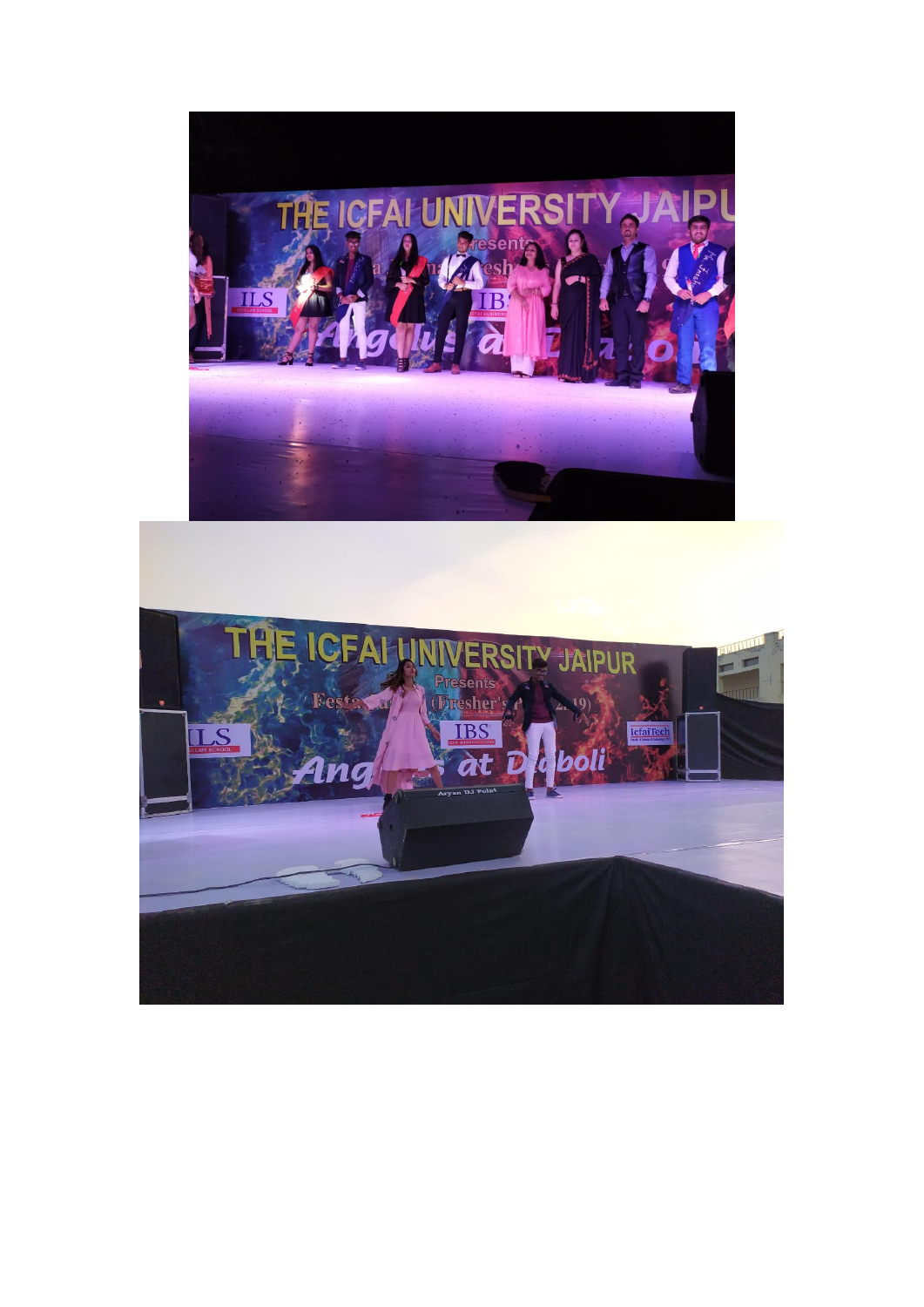

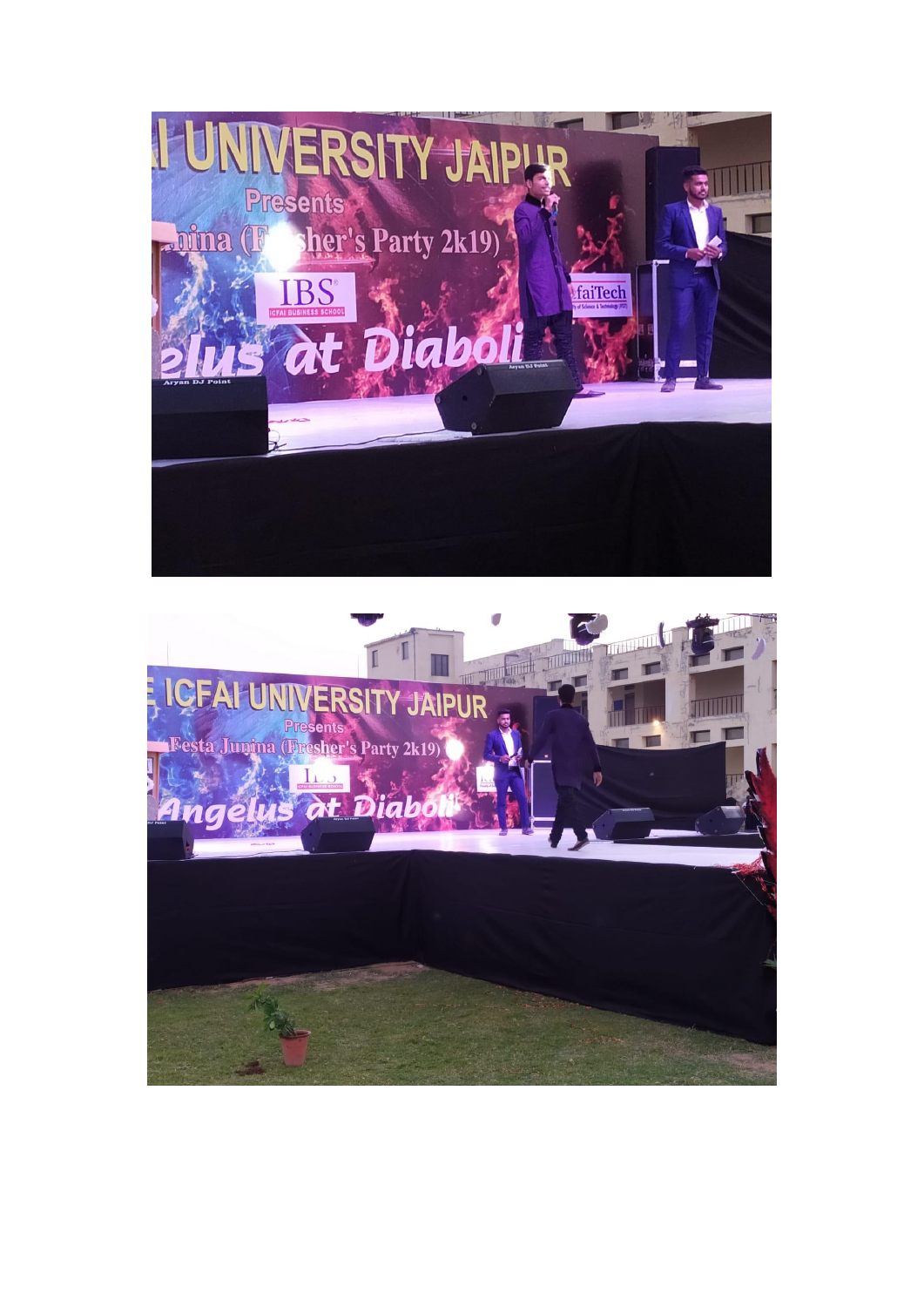